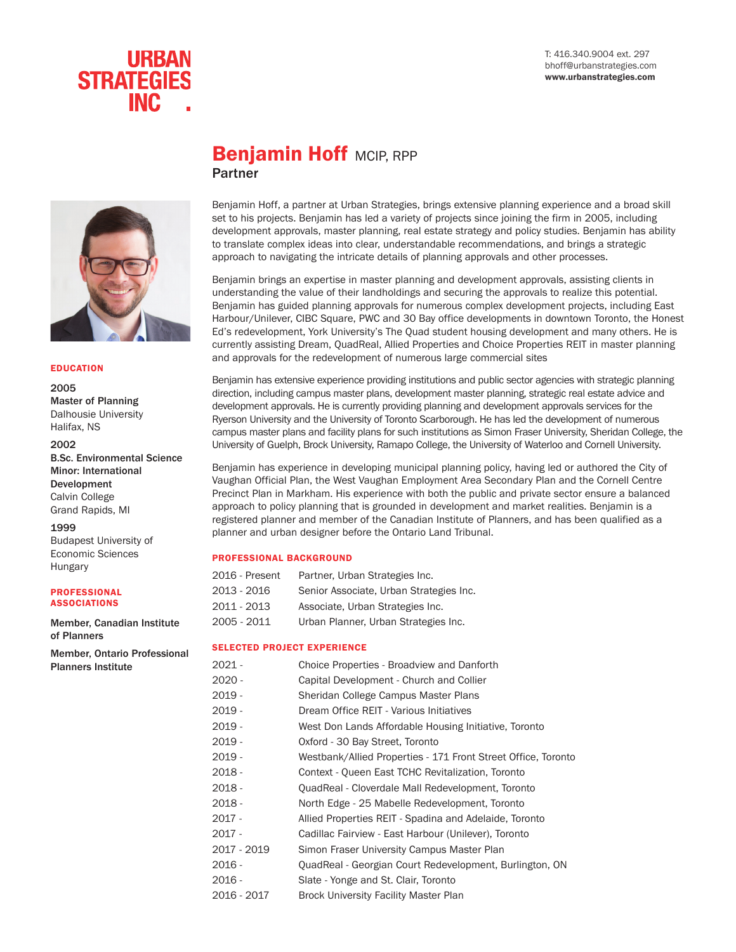

# **Benjamin Hoff MCIP, RPP** Partner



#### EDUCATION

2005 Master of Planning Dalhousie University Halifax, NS

#### 2002

B.Sc. Environmental Science Minor: International Development Calvin College Grand Rapids, MI

1999

Budapest University of Economic Sciences Hungary

#### PROFESSIONAL ASSOCIATIONS

Member, Canadian Institute of Planners

Member, Ontario Professional Planners Institute

## Benjamin Hoff, a partner at Urban Strategies, brings extensive planning experience and a broad skill set to his projects. Benjamin has led a variety of projects since joining the firm in 2005, including development approvals, master planning, real estate strategy and policy studies. Benjamin has ability to translate complex ideas into clear, understandable recommendations, and brings a strategic approach to navigating the intricate details of planning approvals and other processes.

Benjamin brings an expertise in master planning and development approvals, assisting clients in understanding the value of their landholdings and securing the approvals to realize this potential. Benjamin has guided planning approvals for numerous complex development projects, including East Harbour/Unilever, CIBC Square, PWC and 30 Bay office developments in downtown Toronto, the Honest Ed's redevelopment, York University's The Quad student housing development and many others. He is currently assisting Dream, QuadReal, Allied Properties and Choice Properties REIT in master planning and approvals for the redevelopment of numerous large commercial sites

Benjamin has extensive experience providing institutions and public sector agencies with strategic planning direction, including campus master plans, development master planning, strategic real estate advice and development approvals. He is currently providing planning and development approvals services for the Ryerson University and the University of Toronto Scarborough. He has led the development of numerous campus master plans and facility plans for such institutions as Simon Fraser University, Sheridan College, the University of Guelph, Brock University, Ramapo College, the University of Waterloo and Cornell University.

Benjamin has experience in developing municipal planning policy, having led or authored the City of Vaughan Official Plan, the West Vaughan Employment Area Secondary Plan and the Cornell Centre Precinct Plan in Markham. His experience with both the public and private sector ensure a balanced approach to policy planning that is grounded in development and market realities. Benjamin is a registered planner and member of the Canadian Institute of Planners, and has been qualified as a planner and urban designer before the Ontario Land Tribunal.

#### PROFESSIONAL BACKGROUND

| 2016 - Present | Partner, Urban Strategies Inc.          |
|----------------|-----------------------------------------|
| 2013 - 2016    | Senior Associate, Urban Strategies Inc. |
| 2011 - 2013    | Associate, Urban Strategies Inc.        |
| 2005 - 2011    | Urban Planner, Urban Strategies Inc.    |

#### SELECTED PROJECT EXPERIENCE

2021 - Choice Properties - Broadview and Danforth 2020 - Capital Development - Church and Collier 2019 - Sheridan College Campus Master Plans 2019 - Dream Office REIT - Various Initiatives 2019 - West Don Lands Affordable Housing Initiative, Toronto 2019 - Oxford - 30 Bay Street, Toronto 2019 - Westbank/Allied Properties - 171 Front Street Office, Toronto 2018 - Context - Queen East TCHC Revitalization, Toronto 2018 - QuadReal - Cloverdale Mall Redevelopment, Toronto 2018 - North Edge - 25 Mabelle Redevelopment, Toronto 2017 - Allied Properties REIT - Spadina and Adelaide, Toronto 2017 - Cadillac Fairview - East Harbour (Unilever), Toronto 2017 - 2019 Simon Fraser University Campus Master Plan 2016 - QuadReal - Georgian Court Redevelopment, Burlington, ON 2016 - Slate - Yonge and St. Clair, Toronto 2016 - 2017 Brock University Facility Master Plan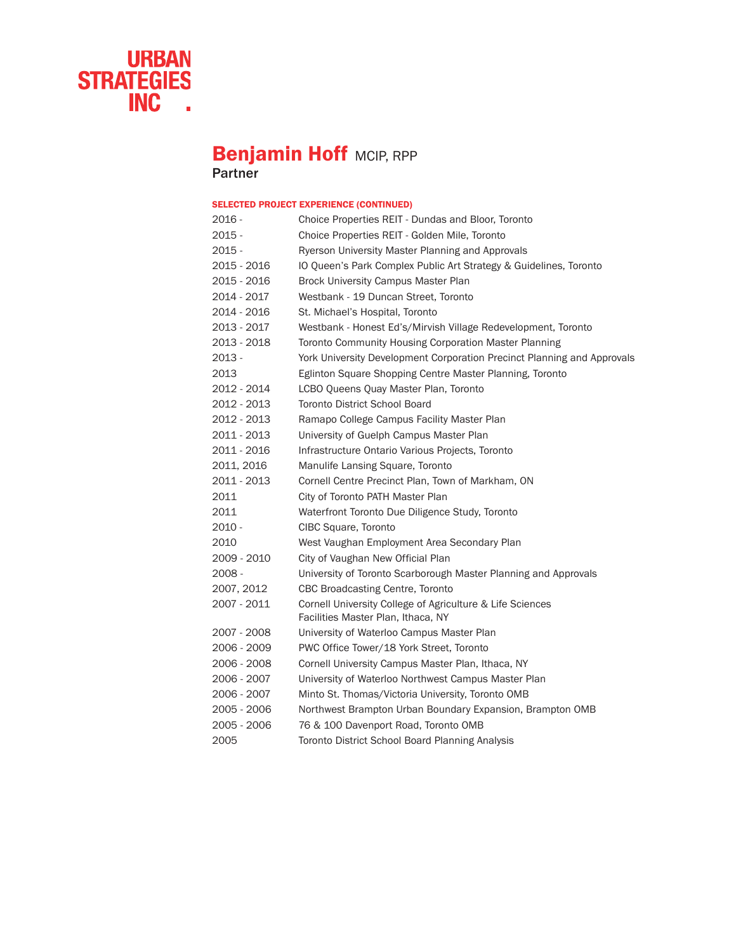

# **Benjamin Hoff MCIP, RPP**

Partner

### SELECTED PROJECT EXPERIENCE (CONTINUED)

| 2016 -      | Choice Properties REIT - Dundas and Bloor, Toronto                                              |
|-------------|-------------------------------------------------------------------------------------------------|
| 2015 -      | Choice Properties REIT - Golden Mile, Toronto                                                   |
| $2015 -$    | Ryerson University Master Planning and Approvals                                                |
| 2015 - 2016 | IO Queen's Park Complex Public Art Strategy & Guidelines, Toronto                               |
| 2015 - 2016 | Brock University Campus Master Plan                                                             |
| 2014 - 2017 | Westbank - 19 Duncan Street, Toronto                                                            |
| 2014 - 2016 | St. Michael's Hospital, Toronto                                                                 |
| 2013 - 2017 | Westbank - Honest Ed's/Mirvish Village Redevelopment, Toronto                                   |
| 2013 - 2018 | Toronto Community Housing Corporation Master Planning                                           |
| 2013 -      | York University Development Corporation Precinct Planning and Approvals                         |
| 2013        | Eglinton Square Shopping Centre Master Planning, Toronto                                        |
| 2012 - 2014 | LCBO Queens Quay Master Plan, Toronto                                                           |
| 2012 - 2013 | <b>Toronto District School Board</b>                                                            |
| 2012 - 2013 | Ramapo College Campus Facility Master Plan                                                      |
| 2011 - 2013 | University of Guelph Campus Master Plan                                                         |
| 2011 - 2016 | Infrastructure Ontario Various Projects, Toronto                                                |
| 2011, 2016  | Manulife Lansing Square, Toronto                                                                |
| 2011 - 2013 | Cornell Centre Precinct Plan, Town of Markham, ON                                               |
| 2011        | City of Toronto PATH Master Plan                                                                |
| 2011        | Waterfront Toronto Due Diligence Study, Toronto                                                 |
| $2010 -$    | CIBC Square, Toronto                                                                            |
| 2010        | West Vaughan Employment Area Secondary Plan                                                     |
| 2009 - 2010 | City of Vaughan New Official Plan                                                               |
| 2008 -      | University of Toronto Scarborough Master Planning and Approvals                                 |
| 2007, 2012  | <b>CBC Broadcasting Centre, Toronto</b>                                                         |
| 2007 - 2011 | Cornell University College of Agriculture & Life Sciences<br>Facilities Master Plan, Ithaca, NY |
| 2007 - 2008 | University of Waterloo Campus Master Plan                                                       |
| 2006 - 2009 | PWC Office Tower/18 York Street, Toronto                                                        |
| 2006 - 2008 | Cornell University Campus Master Plan, Ithaca, NY                                               |
| 2006 - 2007 | University of Waterloo Northwest Campus Master Plan                                             |
| 2006 - 2007 | Minto St. Thomas/Victoria University, Toronto OMB                                               |
| 2005 - 2006 | Northwest Brampton Urban Boundary Expansion, Brampton OMB                                       |
| 2005 - 2006 | 76 & 100 Davenport Road, Toronto OMB                                                            |
| 2005        | Toronto District School Board Planning Analysis                                                 |